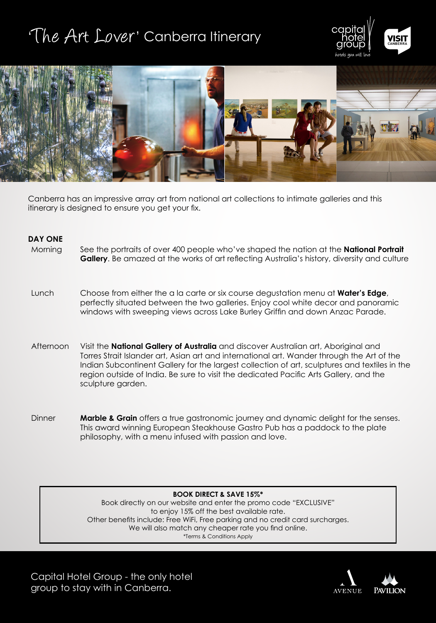# 'The Art Lover' Canberra Itinerary





Canberra has an impressive array art from national art collections to intimate galleries and this itinerary is designed to ensure you get your fix.

### **DAY ONE**

- Morning See the portraits of over 400 people who've shaped the nation at the **National Portrait Gallery**. Be amazed at the works of art reflecting Australia's history, diversity and culture
- Lunch Choose from either the a la carte or six course degustation menu at **Water's Edge**, perfectly situated between the two galleries. Enjoy cool white decor and panoramic windows with sweeping views across Lake Burley Griffin and down Anzac Parade.
- Afternoon Visit the **National Gallery of Australia** and discover Australian art, Aboriginal and Torres Strait Islander art, Asian art and international art. Wander through the Art of the Indian Subcontinent Gallery for the largest collection of art, sculptures and textiles in the region outside of India. Be sure to visit the dedicated Pacific Arts Gallery, and the sculpture garden.
- Dinner **Marble & Grain** offers a true gastronomic journey and dynamic delight for the senses. This award winning European Steakhouse Gastro Pub has a paddock to the plate philosophy, with a menu infused with passion and love.

#### **BOOK DIRECT & SAVE 15%\***

Book directly on our website and enter the promo code "EXCLUSIVE" to enjoy 15% off the best available rate. Other benefits include: Free WiFi, Free parking and no credit card surcharges. We will also match any cheaper rate you find online. \*Terms & Conditions Apply

Capital Hotel Group - the only hotel group to stay with in Canberra.